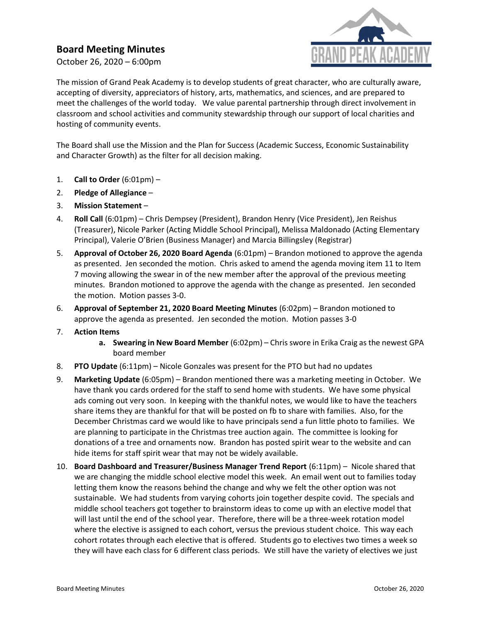## Board Meeting Minutes

October 26, 2020 – 6:00pm



The mission of Grand Peak Academy is to develop students of great character, who are culturally aware, accepting of diversity, appreciators of history, arts, mathematics, and sciences, and are prepared to meet the challenges of the world today. We value parental partnership through direct involvement in classroom and school activities and community stewardship through our support of local charities and hosting of community events.

The Board shall use the Mission and the Plan for Success (Academic Success, Economic Sustainability and Character Growth) as the filter for all decision making.

- 1. Call to Order  $(6:01 \text{pm})$  –
- 2. Pledge of Allegiance –
- 3. Mission Statement –
- 4. Roll Call (6:01pm) Chris Dempsey (President), Brandon Henry (Vice President), Jen Reishus (Treasurer), Nicole Parker (Acting Middle School Principal), Melissa Maldonado (Acting Elementary Principal), Valerie O'Brien (Business Manager) and Marcia Billingsley (Registrar)
- 5. Approval of October 26, 2020 Board Agenda (6:01pm) Brandon motioned to approve the agenda as presented. Jen seconded the motion. Chris asked to amend the agenda moving item 11 to Item 7 moving allowing the swear in of the new member after the approval of the previous meeting minutes. Brandon motioned to approve the agenda with the change as presented. Jen seconded the motion. Motion passes 3-0.
- 6. Approval of September 21, 2020 Board Meeting Minutes (6:02pm) Brandon motioned to approve the agenda as presented. Jen seconded the motion. Motion passes 3-0
- 7. Action Items
	- a. Swearing in New Board Member (6:02pm) Chris swore in Erika Craig as the newest GPA board member
- 8. PTO Update (6:11pm) Nicole Gonzales was present for the PTO but had no updates
- 9. Marketing Update (6:05pm) Brandon mentioned there was a marketing meeting in October. We have thank you cards ordered for the staff to send home with students. We have some physical ads coming out very soon. In keeping with the thankful notes, we would like to have the teachers share items they are thankful for that will be posted on fb to share with families. Also, for the December Christmas card we would like to have principals send a fun little photo to families. We are planning to participate in the Christmas tree auction again. The committee is looking for donations of a tree and ornaments now. Brandon has posted spirit wear to the website and can hide items for staff spirit wear that may not be widely available.
- 10. Board Dashboard and Treasurer/Business Manager Trend Report (6:11pm) Nicole shared that we are changing the middle school elective model this week. An email went out to families today letting them know the reasons behind the change and why we felt the other option was not sustainable. We had students from varying cohorts join together despite covid. The specials and middle school teachers got together to brainstorm ideas to come up with an elective model that will last until the end of the school year. Therefore, there will be a three-week rotation model where the elective is assigned to each cohort, versus the previous student choice. This way each cohort rotates through each elective that is offered. Students go to electives two times a week so they will have each class for 6 different class periods. We still have the variety of electives we just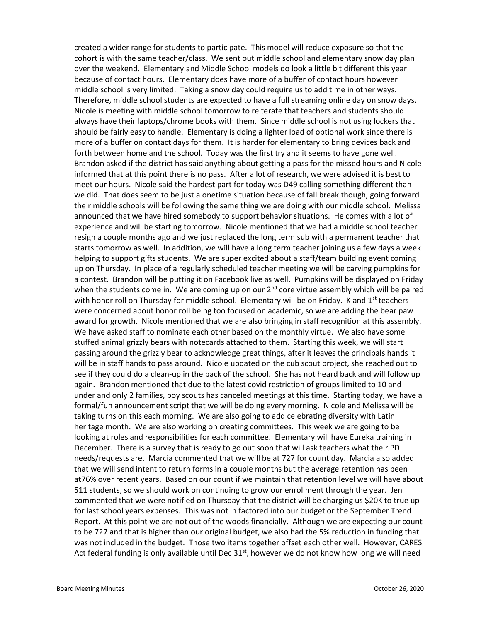created a wider range for students to participate. This model will reduce exposure so that the cohort is with the same teacher/class. We sent out middle school and elementary snow day plan over the weekend. Elementary and Middle School models do look a little bit different this year because of contact hours. Elementary does have more of a buffer of contact hours however middle school is very limited. Taking a snow day could require us to add time in other ways. Therefore, middle school students are expected to have a full streaming online day on snow days. Nicole is meeting with middle school tomorrow to reiterate that teachers and students should always have their laptops/chrome books with them. Since middle school is not using lockers that should be fairly easy to handle. Elementary is doing a lighter load of optional work since there is more of a buffer on contact days for them. It is harder for elementary to bring devices back and forth between home and the school. Today was the first try and it seems to have gone well. Brandon asked if the district has said anything about getting a pass for the missed hours and Nicole informed that at this point there is no pass. After a lot of research, we were advised it is best to meet our hours. Nicole said the hardest part for today was D49 calling something different than we did. That does seem to be just a onetime situation because of fall break though, going forward their middle schools will be following the same thing we are doing with our middle school. Melissa announced that we have hired somebody to support behavior situations. He comes with a lot of experience and will be starting tomorrow. Nicole mentioned that we had a middle school teacher resign a couple months ago and we just replaced the long term sub with a permanent teacher that starts tomorrow as well. In addition, we will have a long term teacher joining us a few days a week helping to support gifts students. We are super excited about a staff/team building event coming up on Thursday. In place of a regularly scheduled teacher meeting we will be carving pumpkins for a contest. Brandon will be putting it on Facebook live as well. Pumpkins will be displayed on Friday when the students come in. We are coming up on our 2<sup>nd</sup> core virtue assembly which will be paired with honor roll on Thursday for middle school. Elementary will be on Friday. K and  $1<sup>st</sup>$  teachers were concerned about honor roll being too focused on academic, so we are adding the bear paw award for growth. Nicole mentioned that we are also bringing in staff recognition at this assembly. We have asked staff to nominate each other based on the monthly virtue. We also have some stuffed animal grizzly bears with notecards attached to them. Starting this week, we will start passing around the grizzly bear to acknowledge great things, after it leaves the principals hands it will be in staff hands to pass around. Nicole updated on the cub scout project, she reached out to see if they could do a clean-up in the back of the school. She has not heard back and will follow up again. Brandon mentioned that due to the latest covid restriction of groups limited to 10 and under and only 2 families, boy scouts has canceled meetings at this time. Starting today, we have a formal/fun announcement script that we will be doing every morning. Nicole and Melissa will be taking turns on this each morning. We are also going to add celebrating diversity with Latin heritage month. We are also working on creating committees. This week we are going to be looking at roles and responsibilities for each committee. Elementary will have Eureka training in December. There is a survey that is ready to go out soon that will ask teachers what their PD needs/requests are. Marcia commented that we will be at 727 for count day. Marcia also added that we will send intent to return forms in a couple months but the average retention has been at76% over recent years. Based on our count if we maintain that retention level we will have about 511 students, so we should work on continuing to grow our enrollment through the year. Jen commented that we were notified on Thursday that the district will be charging us \$20K to true up for last school years expenses. This was not in factored into our budget or the September Trend Report. At this point we are not out of the woods financially. Although we are expecting our count to be 727 and that is higher than our original budget, we also had the 5% reduction in funding that was not included in the budget. Those two items together offset each other well. However, CARES Act federal funding is only available until Dec  $31^{st}$ , however we do not know how long we will need